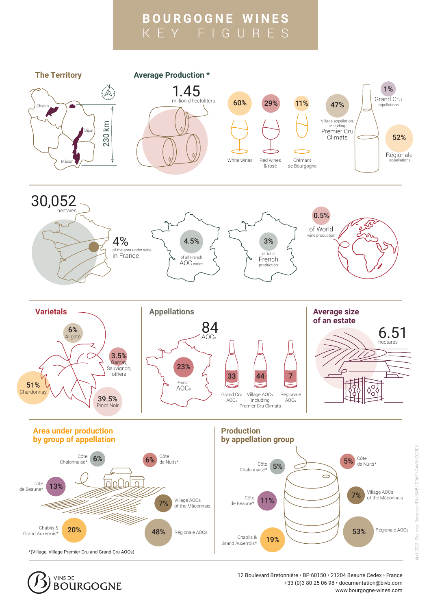## **BOURGOGNE WINES** KEY FIGURES





 12 Boulevard Bretonnière • BP 60150 • 21204 Beaune Cedex • France +33 (0)3 80 25 06 98 • documentation@bivb.com www.bourgogne-wines.com